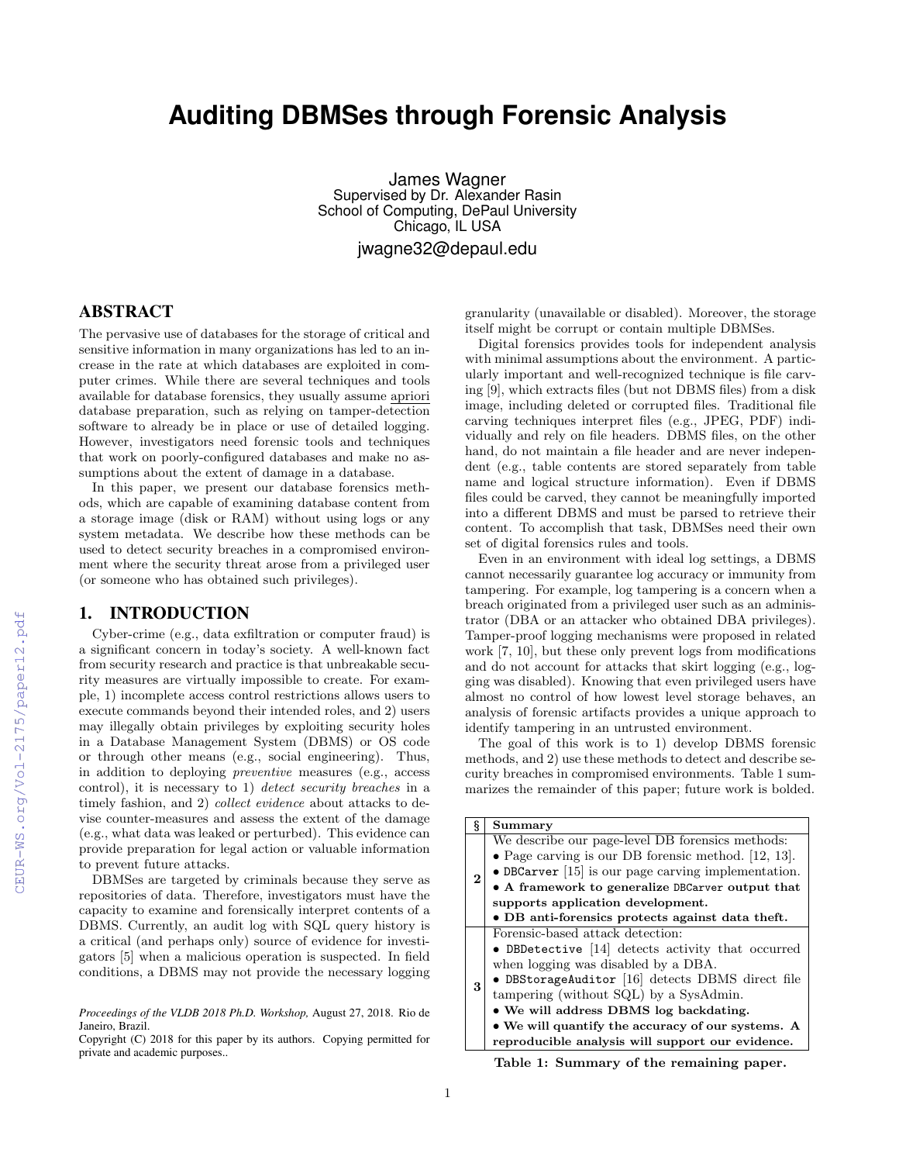# **Auditing DBMSes through Forensic Analysis**

James Wagner Supervised by Dr. Alexander Rasin School of Computing, DePaul University Chicago, IL USA jwagne32@depaul.edu

# ABSTRACT

The pervasive use of databases for the storage of critical and sensitive information in many organizations has led to an increase in the rate at which databases are exploited in computer crimes. While there are several techniques and tools available for database forensics, they usually assume apriori database preparation, such as relying on tamper-detection software to already be in place or use of detailed logging. However, investigators need forensic tools and techniques that work on poorly-configured databases and make no assumptions about the extent of damage in a database.

In this paper, we present our database forensics methods, which are capable of examining database content from a storage image (disk or RAM) without using logs or any system metadata. We describe how these methods can be used to detect security breaches in a compromised environment where the security threat arose from a privileged user (or someone who has obtained such privileges).

## 1. INTRODUCTION

Cyber-crime (e.g., data exfiltration or computer fraud) is a significant concern in today's society. A well-known fact from security research and practice is that unbreakable security measures are virtually impossible to create. For example, 1) incomplete access control restrictions allows users to execute commands beyond their intended roles, and 2) users may illegally obtain privileges by exploiting security holes in a Database Management System (DBMS) or OS code or through other means (e.g., social engineering). Thus, in addition to deploying preventive measures (e.g., access control), it is necessary to 1) detect security breaches in a timely fashion, and 2) *collect evidence* about attacks to devise counter-measures and assess the extent of the damage (e.g., what data was leaked or perturbed). This evidence can provide preparation for legal action or valuable information to prevent future attacks.

DBMSes are targeted by criminals because they serve as repositories of data. Therefore, investigators must have the capacity to examine and forensically interpret contents of a DBMS. Currently, an audit log with SQL query history is a critical (and perhaps only) source of evidence for investigators [5] when a malicious operation is suspected. In field conditions, a DBMS may not provide the necessary logging

Copyright (C) 2018 for this paper by its authors. Copying permitted for private and academic purposes..

granularity (unavailable or disabled). Moreover, the storage itself might be corrupt or contain multiple DBMSes.

Digital forensics provides tools for independent analysis with minimal assumptions about the environment. A particularly important and well-recognized technique is file carving [9], which extracts files (but not DBMS files) from a disk image, including deleted or corrupted files. Traditional file carving techniques interpret files (e.g., JPEG, PDF) individually and rely on file headers. DBMS files, on the other hand, do not maintain a file header and are never independent (e.g., table contents are stored separately from table name and logical structure information). Even if DBMS files could be carved, they cannot be meaningfully imported into a different DBMS and must be parsed to retrieve their content. To accomplish that task, DBMSes need their own set of digital forensics rules and tools.

Even in an environment with ideal log settings, a DBMS cannot necessarily guarantee log accuracy or immunity from tampering. For example, log tampering is a concern when a breach originated from a privileged user such as an administrator (DBA or an attacker who obtained DBA privileges). Tamper-proof logging mechanisms were proposed in related work [7, 10], but these only prevent logs from modifications and do not account for attacks that skirt logging (e.g., logging was disabled). Knowing that even privileged users have almost no control of how lowest level storage behaves, an analysis of forensic artifacts provides a unique approach to identify tampering in an untrusted environment.

The goal of this work is to 1) develop DBMS forensic methods, and 2) use these methods to detect and describe security breaches in compromised environments. Table 1 summarizes the remainder of this paper; future work is bolded.

| ş | Summary                                                                                                                                                                |
|---|------------------------------------------------------------------------------------------------------------------------------------------------------------------------|
| 2 | We describe our page-level DB forensics methods:<br>• Page carving is our DB forensic method. [12, 13].<br>$\bullet$ DBCarver [15] is our page carving implementation. |
|   | • A framework to generalize DBCarver output that                                                                                                                       |
|   | supports application development.                                                                                                                                      |
|   | • DB anti-forensics protects against data theft.                                                                                                                       |
| 3 | Forensic-based attack detection:                                                                                                                                       |
|   | • DBDetective [14] detects activity that occurred                                                                                                                      |
|   | when logging was disabled by a DBA.                                                                                                                                    |
|   | • DBStorageAuditor [16] detects DBMS direct file                                                                                                                       |
|   | tampering (without SQL) by a SysAdmin.                                                                                                                                 |
|   | . We will address DBMS log backdating.                                                                                                                                 |
|   | • We will quantify the accuracy of our systems. A                                                                                                                      |
|   | reproducible analysis will support our evidence.                                                                                                                       |
|   |                                                                                                                                                                        |

Table 1: Summary of the remaining paper.

*Proceedings of the VLDB 2018 Ph.D. Workshop,* August 27, 2018. Rio de Janeiro, Brazil.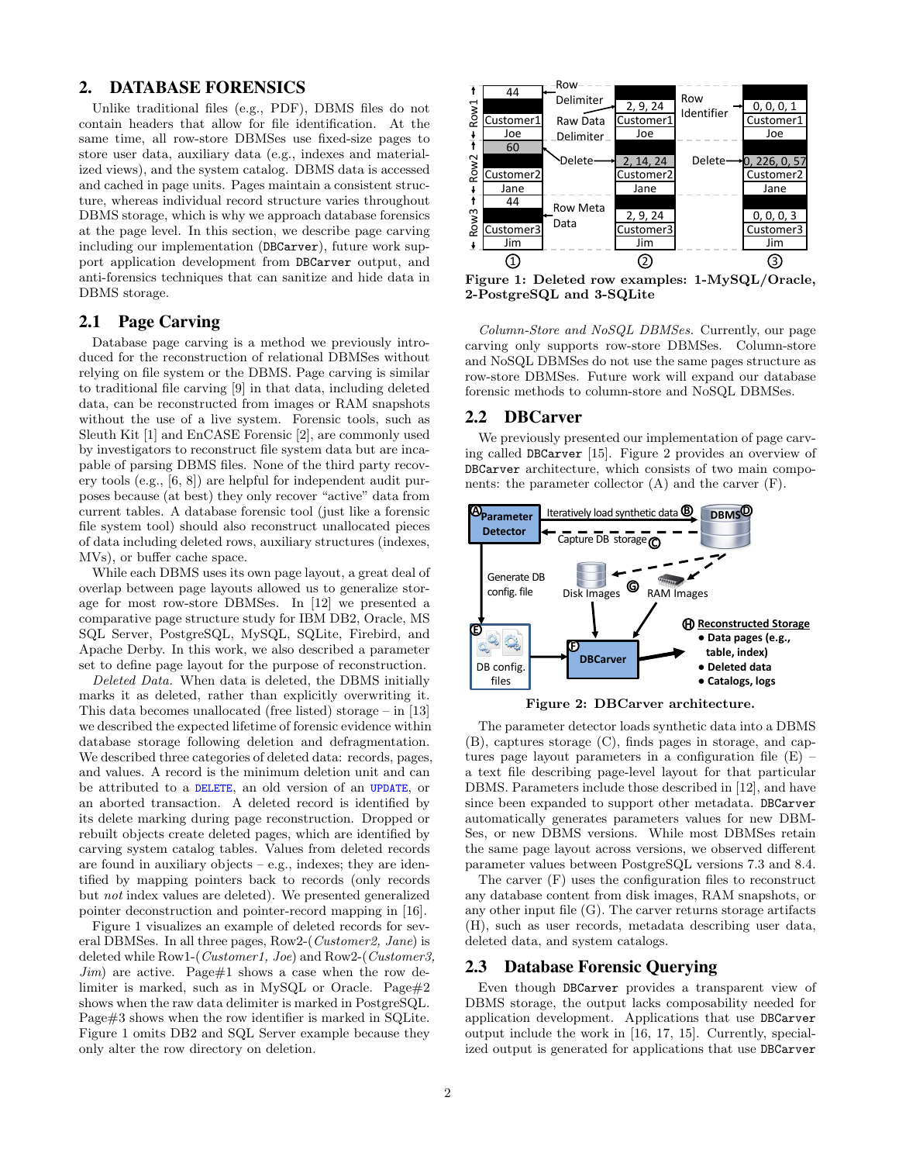## 2. DATABASE FORENSICS

Unlike traditional files (e.g., PDF), DBMS files do not contain headers that allow for file identification. At the same time, all row-store DBMSes use fixed-size pages to store user data, auxiliary data (e.g., indexes and materialized views), and the system catalog. DBMS data is accessed and cached in page units. Pages maintain a consistent structure, whereas individual record structure varies throughout DBMS storage, which is why we approach database forensics at the page level. In this section, we describe page carving including our implementation (DBCarver), future work support application development from DBCarver output, and anti-forensics techniques that can sanitize and hide data in DBMS storage.

## 2.1 Page Carving

Database page carving is a method we previously introduced for the reconstruction of relational DBMSes without relying on file system or the DBMS. Page carving is similar to traditional file carving [9] in that data, including deleted data, can be reconstructed from images or RAM snapshots without the use of a live system. Forensic tools, such as Sleuth Kit [1] and EnCASE Forensic [2], are commonly used by investigators to reconstruct file system data but are incapable of parsing DBMS files. None of the third party recovery tools (e.g., [6, 8]) are helpful for independent audit purposes because (at best) they only recover "active" data from current tables. A database forensic tool (just like a forensic file system tool) should also reconstruct unallocated pieces of data including deleted rows, auxiliary structures (indexes, MVs), or buffer cache space.

While each DBMS uses its own page layout, a great deal of overlap between page layouts allowed us to generalize storage for most row-store DBMSes. In [12] we presented a comparative page structure study for IBM DB2, Oracle, MS SQL Server, PostgreSQL, MySQL, SQLite, Firebird, and Apache Derby. In this work, we also described a parameter set to define page layout for the purpose of reconstruction.

Deleted Data. When data is deleted, the DBMS initially marks it as deleted, rather than explicitly overwriting it. This data becomes unallocated (free listed) storage – in [13] we described the expected lifetime of forensic evidence within database storage following deletion and defragmentation. We described three categories of deleted data: records, pages, and values. A record is the minimum deletion unit and can be attributed to a DELETE, an old version of an UPDATE, or an aborted transaction. A deleted record is identified by its delete marking during page reconstruction. Dropped or rebuilt objects create deleted pages, which are identified by carving system catalog tables. Values from deleted records are found in auxiliary objects – e.g., indexes; they are identified by mapping pointers back to records (only records but not index values are deleted). We presented generalized pointer deconstruction and pointer-record mapping in [16].

Figure 1 visualizes an example of deleted records for several DBMSes. In all three pages, Row2-(Customer2, Jane) is deleted while Row1-(Customer1, Joe) and Row2-(Customer3,  $Jim)$  are active. Page  $\#1$  shows a case when the row delimiter is marked, such as in MySQL or Oracle. Page#2 shows when the raw data delimiter is marked in PostgreSQL. Page#3 shows when the row identifier is marked in SQLite. Figure 1 omits DB2 and SQL Server example because they only alter the row directory on deletion.



Figure 1: Deleted row examples: 1-MySQL/Oracle, 2-PostgreSQL and 3-SQLite

Column-Store and NoSQL DBMSes. Currently, our page carving only supports row-store DBMSes. Column-store and NoSQL DBMSes do not use the same pages structure as row-store DBMSes. Future work will expand our database forensic methods to column-store and NoSQL DBMSes.

#### 2.2 DBCarver

We previously presented our implementation of page carving called DBCarver [15]. Figure 2 provides an overview of DBCarver architecture, which consists of two main components: the parameter collector (A) and the carver (F).



Figure 2: DBCarver architecture.

The parameter detector loads synthetic data into a DBMS (B), captures storage (C), finds pages in storage, and captures page layout parameters in a configuration file (E) – a text file describing page-level layout for that particular DBMS. Parameters include those described in [12], and have since been expanded to support other metadata. DBCarver automatically generates parameters values for new DBM-Ses, or new DBMS versions. While most DBMSes retain the same page layout across versions, we observed different parameter values between PostgreSQL versions 7.3 and 8.4.

The carver (F) uses the configuration files to reconstruct any database content from disk images, RAM snapshots, or any other input file (G). The carver returns storage artifacts (H), such as user records, metadata describing user data, deleted data, and system catalogs.

## 2.3 Database Forensic Querying

Even though DBCarver provides a transparent view of DBMS storage, the output lacks composability needed for application development. Applications that use DBCarver output include the work in [16, 17, 15]. Currently, specialized output is generated for applications that use DBCarver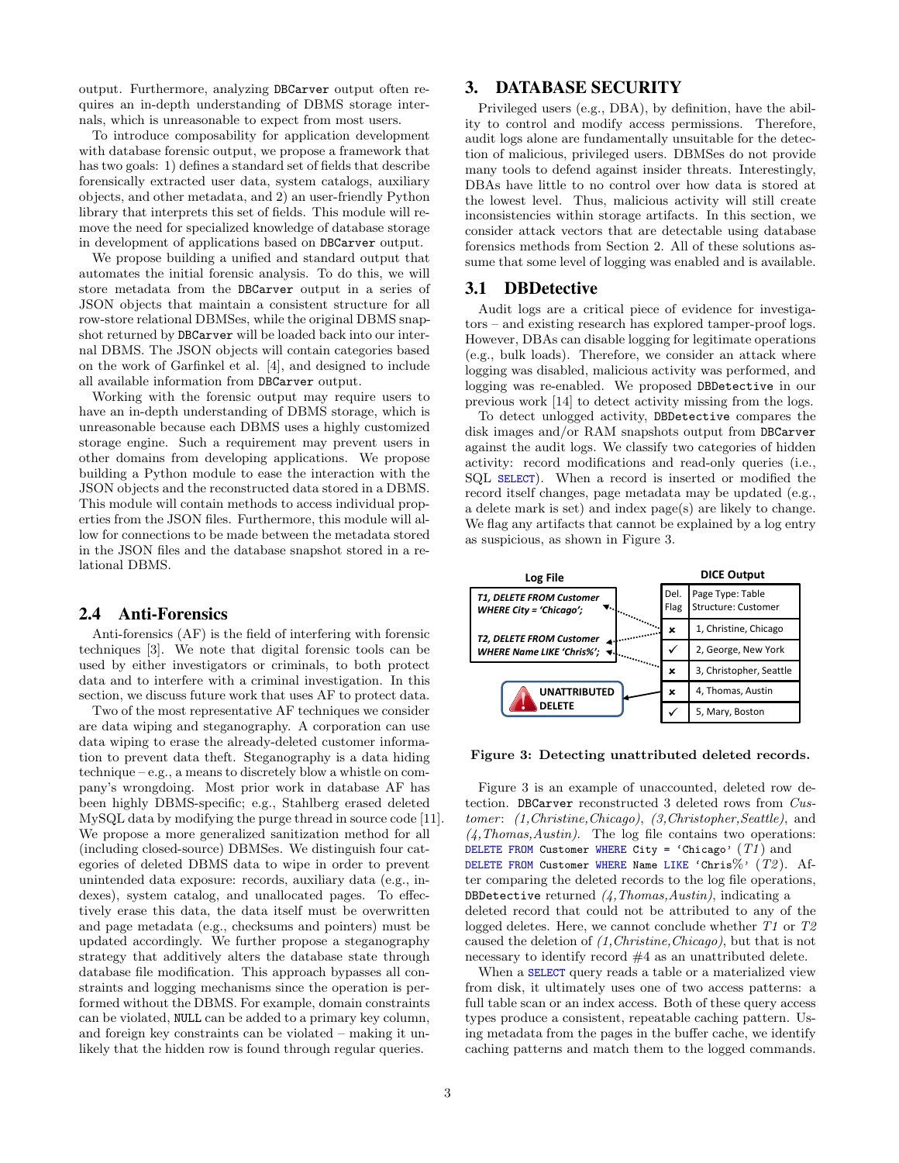output. Furthermore, analyzing DBCarver output often requires an in-depth understanding of DBMS storage internals, which is unreasonable to expect from most users.

To introduce composability for application development with database forensic output, we propose a framework that has two goals: 1) defines a standard set of fields that describe forensically extracted user data, system catalogs, auxiliary objects, and other metadata, and 2) an user-friendly Python library that interprets this set of fields. This module will remove the need for specialized knowledge of database storage in development of applications based on DBCarver output.

We propose building a unified and standard output that automates the initial forensic analysis. To do this, we will store metadata from the DBCarver output in a series of JSON objects that maintain a consistent structure for all row-store relational DBMSes, while the original DBMS snapshot returned by DBCarver will be loaded back into our internal DBMS. The JSON objects will contain categories based on the work of Garfinkel et al. [4], and designed to include all available information from DBCarver output.

Working with the forensic output may require users to have an in-depth understanding of DBMS storage, which is unreasonable because each DBMS uses a highly customized storage engine. Such a requirement may prevent users in other domains from developing applications. We propose building a Python module to ease the interaction with the JSON objects and the reconstructed data stored in a DBMS. This module will contain methods to access individual properties from the JSON files. Furthermore, this module will allow for connections to be made between the metadata stored in the JSON files and the database snapshot stored in a relational DBMS.

## 2.4 Anti-Forensics

Anti-forensics (AF) is the field of interfering with forensic techniques [3]. We note that digital forensic tools can be used by either investigators or criminals, to both protect data and to interfere with a criminal investigation. In this section, we discuss future work that uses AF to protect data.

Two of the most representative AF techniques we consider are data wiping and steganography. A corporation can use data wiping to erase the already-deleted customer information to prevent data theft. Steganography is a data hiding technique – e.g., a means to discretely blow a whistle on company's wrongdoing. Most prior work in database AF has been highly DBMS-specific; e.g., Stahlberg erased deleted MySQL data by modifying the purge thread in source code [11]. We propose a more generalized sanitization method for all (including closed-source) DBMSes. We distinguish four categories of deleted DBMS data to wipe in order to prevent unintended data exposure: records, auxiliary data (e.g., indexes), system catalog, and unallocated pages. To effectively erase this data, the data itself must be overwritten and page metadata (e.g., checksums and pointers) must be updated accordingly. We further propose a steganography strategy that additively alters the database state through database file modification. This approach bypasses all constraints and logging mechanisms since the operation is performed without the DBMS. For example, domain constraints can be violated, NULL can be added to a primary key column, and foreign key constraints can be violated – making it unlikely that the hidden row is found through regular queries.

## 3. DATABASE SECURITY

Privileged users (e.g., DBA), by definition, have the ability to control and modify access permissions. Therefore, audit logs alone are fundamentally unsuitable for the detection of malicious, privileged users. DBMSes do not provide many tools to defend against insider threats. Interestingly, DBAs have little to no control over how data is stored at the lowest level. Thus, malicious activity will still create inconsistencies within storage artifacts. In this section, we consider attack vectors that are detectable using database forensics methods from Section 2. All of these solutions assume that some level of logging was enabled and is available.

## 3.1 DBDetective

Audit logs are a critical piece of evidence for investigators – and existing research has explored tamper-proof logs. However, DBAs can disable logging for legitimate operations (e.g., bulk loads). Therefore, we consider an attack where logging was disabled, malicious activity was performed, and logging was re-enabled. We proposed DBDetective in our previous work [14] to detect activity missing from the logs.

To detect unlogged activity, DBDetective compares the disk images and/or RAM snapshots output from DBCarver against the audit logs. We classify two categories of hidden activity: record modifications and read-only queries (i.e., SQL SELECT). When a record is inserted or modified the record itself changes, page metadata may be updated (e.g., a delete mark is set) and index page(s) are likely to change. We flag any artifacts that cannot be explained by a log entry as suspicious, as shown in Figure 3.



Figure 3: Detecting unattributed deleted records.

Figure 3 is an example of unaccounted, deleted row detection. DBCarver reconstructed 3 deleted rows from Customer: (1, Christine, Chicago), (3, Christopher, Seattle), and  $(4,Thomas, Austin)$ . The log file contains two operations: DELETE FROM Customer WHERE City = 'Chicago'  $(T1)$  and DELETE FROM Customer WHERE Name LIKE 'Chris $\%$ ' (T2). After comparing the deleted records to the log file operations, DBDetective returned  $(4,Thomas, Austin)$ , indicating a deleted record that could not be attributed to any of the logged deletes. Here, we cannot conclude whether T1 or T2 caused the deletion of (1,Christine,Chicago), but that is not necessary to identify record  $#4$  as an unattributed delete.

When a **SELECT** query reads a table or a materialized view from disk, it ultimately uses one of two access patterns: a full table scan or an index access. Both of these query access types produce a consistent, repeatable caching pattern. Using metadata from the pages in the buffer cache, we identify caching patterns and match them to the logged commands.